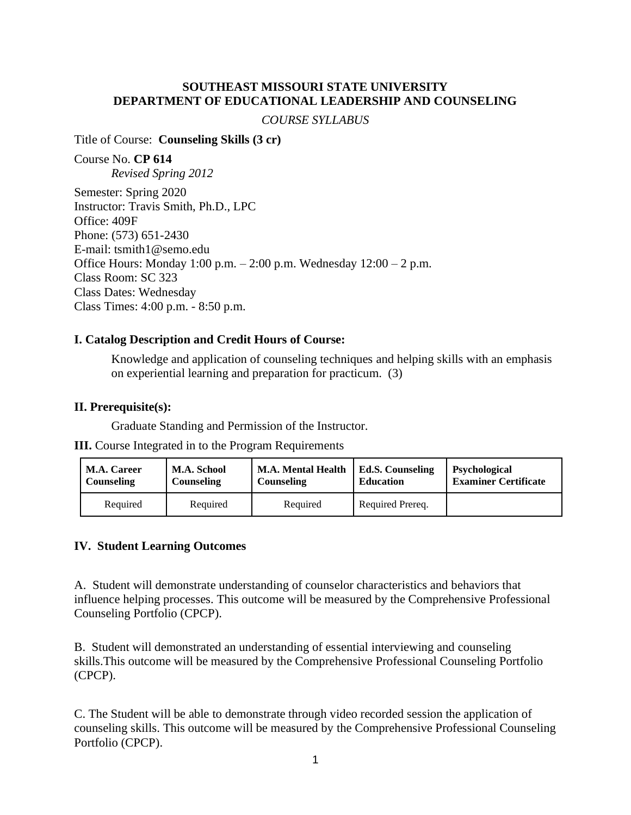#### **SOUTHEAST MISSOURI STATE UNIVERSITY DEPARTMENT OF EDUCATIONAL LEADERSHIP AND COUNSELING**

#### *COURSE SYLLABUS*

#### Title of Course: **Counseling Skills (3 cr)**

Course No. **CP 614** *Revised Spring 2012* Semester: Spring 2020 Instructor: Travis Smith, Ph.D., LPC Office: 409F Phone: (573) 651-2430 E-mail: tsmith1@semo.edu Office Hours: Monday 1:00 p.m. – 2:00 p.m. Wednesday 12:00 – 2 p.m. Class Room: SC 323 Class Dates: Wednesday Class Times: 4:00 p.m. - 8:50 p.m.

# **I. Catalog Description and Credit Hours of Course:**

Knowledge and application of counseling techniques and helping skills with an emphasis on experiential learning and preparation for practicum. (3)

#### **II. Prerequisite(s):**

Graduate Standing and Permission of the Instructor.

**III.** Course Integrated in to the Program Requirements

| <b>M.A. Career</b> | <b>M.A. School</b> | M.A. Mental Health | <b>Ed.S. Counseling</b> | <b>Psychological</b>        |
|--------------------|--------------------|--------------------|-------------------------|-----------------------------|
| Counseling         | Counseling         | Counseling         | <b>Education</b>        | <b>Examiner Certificate</b> |
| Required           | Required           | Required           | Required Prereq.        |                             |

#### **IV. Student Learning Outcomes**

A. Student will demonstrate understanding of counselor characteristics and behaviors that influence helping processes. This outcome will be measured by the Comprehensive Professional Counseling Portfolio (CPCP).

B. Student will demonstrated an understanding of essential interviewing and counseling skills.This outcome will be measured by the Comprehensive Professional Counseling Portfolio (CPCP).

C. The Student will be able to demonstrate through video recorded session the application of counseling skills. This outcome will be measured by the Comprehensive Professional Counseling Portfolio (CPCP).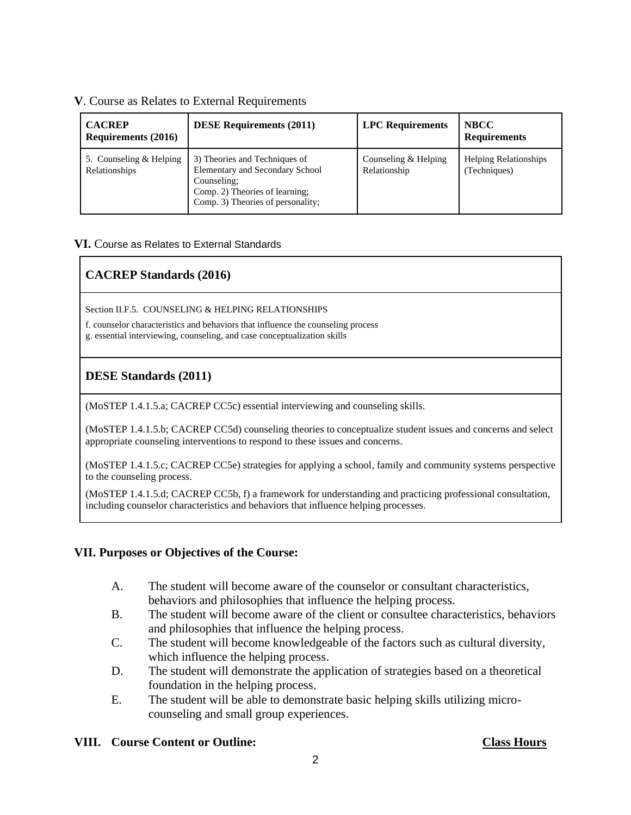#### **CACREP Requirements (2016) DESE Requirements (2011) LPC Requirements** NBCC **Requirements** 5. Counseling & Helping Relationships 3) Theories and Techniques of Elementary and Secondary School Counseling; Comp. 2) Theories of learning; Comp. 3) Theories of personality; Counseling & Helping Relationship Helping Relationships (Techniques)

#### **V**. Course as Relates to External Requirements

#### **VI.** Course as Relates to External Standards

# **CACREP Standards (2016)**

Section II.F.5. COUNSELING & HELPING RELATIONSHIPS

f. counselor characteristics and behaviors that influence the counseling process g. essential interviewing, counseling, and case conceptualization skills

# **DESE Standards (2011)**

(MoSTEP 1.4.1.5.a; CACREP CC5c) essential interviewing and counseling skills.

(MoSTEP 1.4.1.5.b; CACREP CC5d) counseling theories to conceptualize student issues and concerns and select appropriate counseling interventions to respond to these issues and concerns.

(MoSTEP 1.4.1.5.c; CACREP CC5e) strategies for applying a school, family and community systems perspective to the counseling process.

(MoSTEP 1.4.1.5.d; CACREP CC5b, f) a framework for understanding and practicing professional consultation, including counselor characteristics and behaviors that influence helping processes.

#### **VII. Purposes or Objectives of the Course:**

- A. The student will become aware of the counselor or consultant characteristics, behaviors and philosophies that influence the helping process.
- B. The student will become aware of the client or consultee characteristics, behaviors and philosophies that influence the helping process.
- C. The student will become knowledgeable of the factors such as cultural diversity, which influence the helping process.
- D. The student will demonstrate the application of strategies based on a theoretical foundation in the helping process.
- E. The student will be able to demonstrate basic helping skills utilizing microcounseling and small group experiences.

#### **VIII. Course Content or Outline: Class Hours**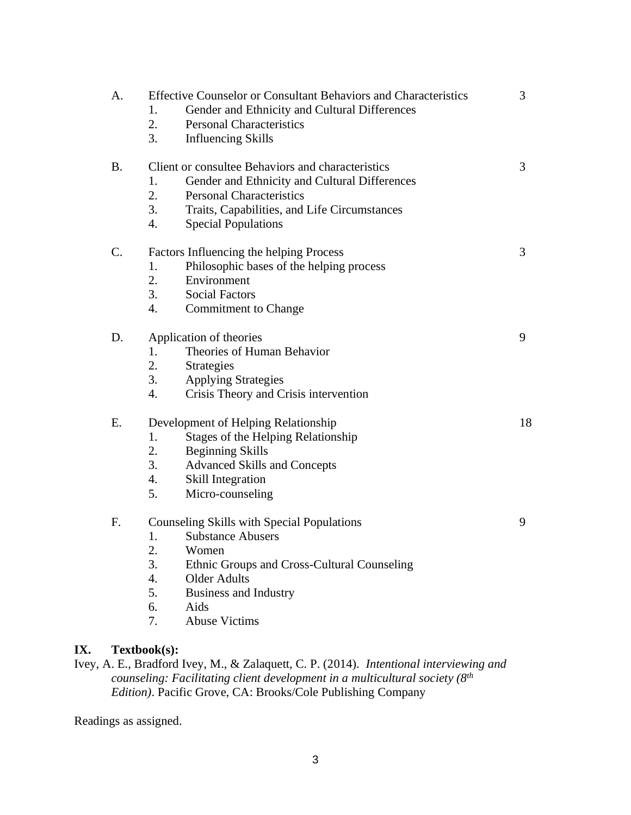| A.        | <b>Effective Counselor or Consultant Behaviors and Characteristics</b><br>Gender and Ethnicity and Cultural Differences<br>1.<br>2.<br><b>Personal Characteristics</b><br>3.<br><b>Influencing Skills</b>                                                       | 3  |
|-----------|-----------------------------------------------------------------------------------------------------------------------------------------------------------------------------------------------------------------------------------------------------------------|----|
| <b>B.</b> | Client or consultee Behaviors and characteristics<br>1.<br>Gender and Ethnicity and Cultural Differences<br>2.<br><b>Personal Characteristics</b><br>3.<br>Traits, Capabilities, and Life Circumstances<br>4.<br><b>Special Populations</b>                     | 3  |
| C.        | Factors Influencing the helping Process<br>1.<br>Philosophic bases of the helping process<br>Environment<br>2.<br>3.<br><b>Social Factors</b><br>4.<br><b>Commitment</b> to Change                                                                              | 3  |
| D.        | Application of theories<br>Theories of Human Behavior<br>1.<br>2.<br><b>Strategies</b><br>3.<br><b>Applying Strategies</b><br>Crisis Theory and Crisis intervention<br>4.                                                                                       | 9  |
| Ε.        | Development of Helping Relationship<br>Stages of the Helping Relationship<br>1.<br>2.<br><b>Beginning Skills</b><br>3.<br><b>Advanced Skills and Concepts</b><br><b>Skill Integration</b><br>4.<br>Micro-counseling<br>5.                                       | 18 |
| F.        | Counseling Skills with Special Populations<br><b>Substance Abusers</b><br>1.<br>2.<br>Women<br>3.<br>Ethnic Groups and Cross-Cultural Counseling<br>4.<br><b>Older Adults</b><br>5.<br><b>Business and Industry</b><br>6.<br>Aids<br><b>Abuse Victims</b><br>7. | 9  |

# **IX. Textbook(s):**

Ivey, A. E., Bradford Ivey, M., & Zalaquett, C. P. (2014). *Intentional interviewing and counseling: Facilitating client development in a multicultural society (8th Edition)*. Pacific Grove, CA: Brooks/Cole Publishing Company

Readings as assigned.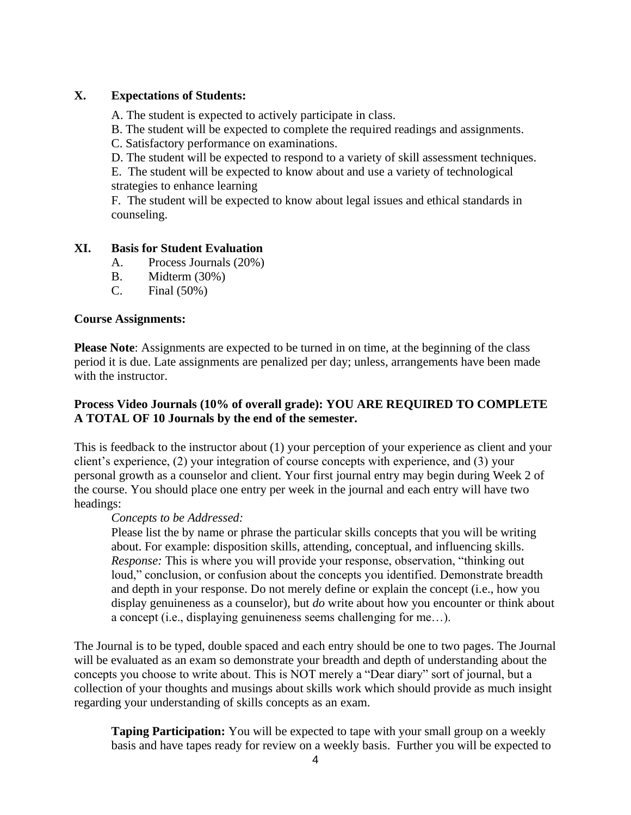# **X. Expectations of Students:**

A. The student is expected to actively participate in class.

B. The student will be expected to complete the required readings and assignments.

C. Satisfactory performance on examinations.

D. The student will be expected to respond to a variety of skill assessment techniques.

E. The student will be expected to know about and use a variety of technological strategies to enhance learning

F. The student will be expected to know about legal issues and ethical standards in counseling.

## **XI. Basis for Student Evaluation**

- A. Process Journals (20%)
- B. Midterm (30%)
- C. Final (50%)

#### **Course Assignments:**

**Please Note**: Assignments are expected to be turned in on time, at the beginning of the class period it is due. Late assignments are penalized per day; unless, arrangements have been made with the instructor.

# **Process Video Journals (10% of overall grade): YOU ARE REQUIRED TO COMPLETE A TOTAL OF 10 Journals by the end of the semester.**

This is feedback to the instructor about (1) your perception of your experience as client and your client's experience, (2) your integration of course concepts with experience, and (3) your personal growth as a counselor and client. Your first journal entry may begin during Week 2 of the course. You should place one entry per week in the journal and each entry will have two headings:

# *Concepts to be Addressed:*

Please list the by name or phrase the particular skills concepts that you will be writing about. For example: disposition skills, attending, conceptual, and influencing skills. *Response:* This is where you will provide your response, observation, "thinking out loud," conclusion, or confusion about the concepts you identified. Demonstrate breadth and depth in your response. Do not merely define or explain the concept (i.e., how you display genuineness as a counselor), but *do* write about how you encounter or think about a concept (i.e., displaying genuineness seems challenging for me…).

The Journal is to be typed, double spaced and each entry should be one to two pages. The Journal will be evaluated as an exam so demonstrate your breadth and depth of understanding about the concepts you choose to write about. This is NOT merely a "Dear diary" sort of journal, but a collection of your thoughts and musings about skills work which should provide as much insight regarding your understanding of skills concepts as an exam.

**Taping Participation:** You will be expected to tape with your small group on a weekly basis and have tapes ready for review on a weekly basis. Further you will be expected to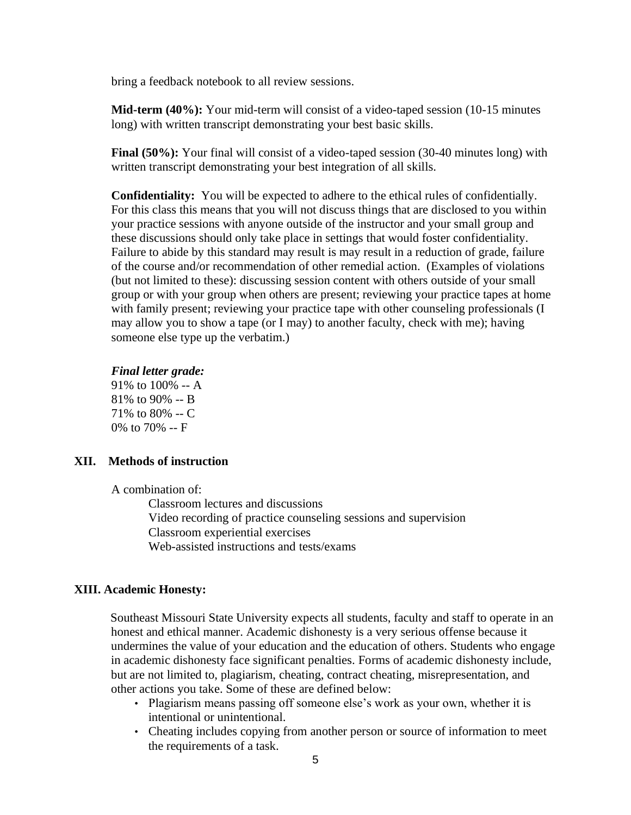bring a feedback notebook to all review sessions.

**Mid-term (40%):** Your mid-term will consist of a video-taped session (10-15 minutes long) with written transcript demonstrating your best basic skills.

**Final (50%):** Your final will consist of a video-taped session (30-40 minutes long) with written transcript demonstrating your best integration of all skills.

**Confidentiality:** You will be expected to adhere to the ethical rules of confidentially. For this class this means that you will not discuss things that are disclosed to you within your practice sessions with anyone outside of the instructor and your small group and these discussions should only take place in settings that would foster confidentiality. Failure to abide by this standard may result is may result in a reduction of grade, failure of the course and/or recommendation of other remedial action. (Examples of violations (but not limited to these): discussing session content with others outside of your small group or with your group when others are present; reviewing your practice tapes at home with family present; reviewing your practice tape with other counseling professionals (I may allow you to show a tape (or I may) to another faculty, check with me); having someone else type up the verbatim.)

#### *Final letter grade:*

91% to 100% -- A 81% to 90% -- B 71% to 80% -- C 0% to 70% -- F

#### **XII. Methods of instruction**

A combination of:

Classroom lectures and discussions Video recording of practice counseling sessions and supervision Classroom experiential exercises Web-assisted instructions and tests/exams

#### **XIII. Academic Honesty:**

Southeast Missouri State University expects all students, faculty and staff to operate in an honest and ethical manner. Academic dishonesty is a very serious offense because it undermines the value of your education and the education of others. Students who engage in academic dishonesty face significant penalties. Forms of academic dishonesty include, but are not limited to, plagiarism, cheating, contract cheating, misrepresentation, and other actions you take. Some of these are defined below:

- Plagiarism means passing off someone else's work as your own, whether it is intentional or unintentional.
- Cheating includes copying from another person or source of information to meet the requirements of a task.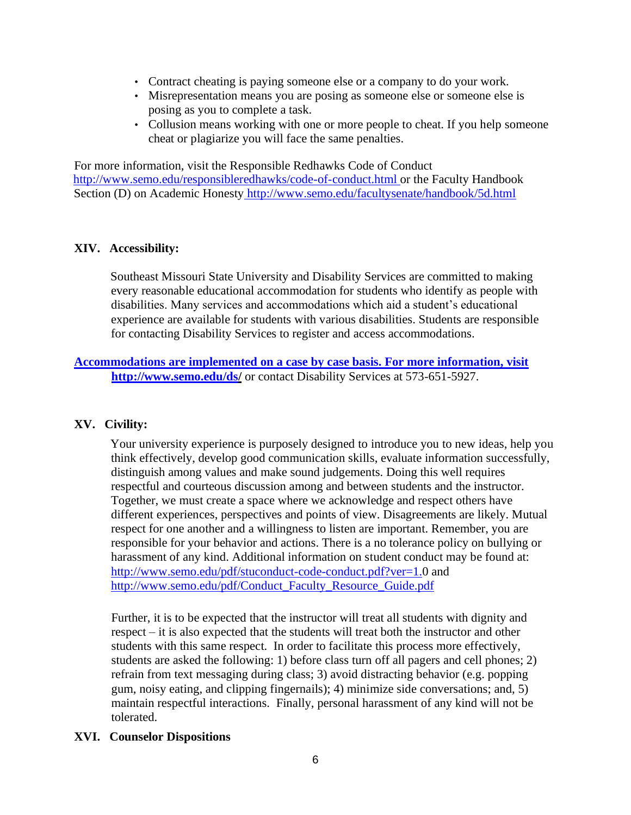- Contract cheating is paying someone else or a company to do your work.
- Misrepresentation means you are posing as someone else or someone else is posing as you to complete a task.
- Collusion means working with one or more people to cheat. If you help someone cheat or plagiarize you will face the same penalties.

For more information, visit the Responsible Redhawks Code of Conduct http://www.semo.edu/responsibleredhawks/code-of-conduct.html or the Faculty Handbook Section (D) on Academic Honesty http://www.semo.edu/facultysenate/handbook/5d.html

## **XIV. Accessibility:**

Southeast Missouri State University and Disability Services are committed to making every reasonable educational accommodation for students who identify as people with disabilities. Many services and accommodations which aid a student's educational experience are available for students with various disabilities. Students are responsible for contacting Disability Services to register and access accommodations.

## **Accommodations are implemented on a case by case basis. For more information, visit http://www.semo.edu/ds/** or contact Disability Services at 573-651-5927.

#### **XV. Civility:**

Your university experience is purposely designed to introduce you to new ideas, help you think effectively, develop good communication skills, evaluate information successfully, distinguish among values and make sound judgements. Doing this well requires respectful and courteous discussion among and between students and the instructor. Together, we must create a space where we acknowledge and respect others have different experiences, perspectives and points of view. Disagreements are likely. Mutual respect for one another and a willingness to listen are important. Remember, you are responsible for your behavior and actions. There is a no tolerance policy on bullying or harassment of any kind. Additional information on student conduct may be found at: http://www.semo.edu/pdf/stuconduct-code-conduct.pdf?ver=1.0 and http://www.semo.edu/pdf/Conduct\_Faculty\_Resource\_Guide.pdf

Further, it is to be expected that the instructor will treat all students with dignity and respect – it is also expected that the students will treat both the instructor and other students with this same respect. In order to facilitate this process more effectively, students are asked the following: 1) before class turn off all pagers and cell phones; 2) refrain from text messaging during class; 3) avoid distracting behavior (e.g. popping gum, noisy eating, and clipping fingernails); 4) minimize side conversations; and, 5) maintain respectful interactions. Finally, personal harassment of any kind will not be tolerated.

#### **XVI. Counselor Dispositions**